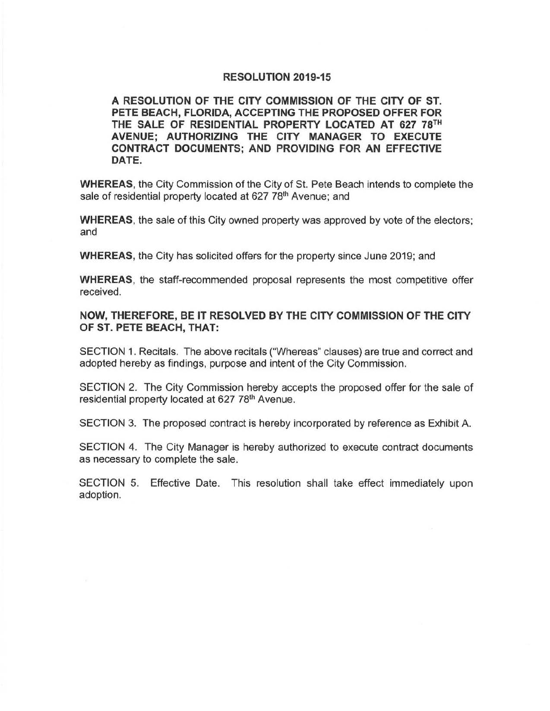#### RESOLUTION 2019-15

### A RESOLUTION OF THE CITY COMMISSION OF THE CITY OF ST. **PETE BEACH, FLORIDA, ACCEPTING THE PROPOSED OFFER FOR THE SALE OF RESIDENTIAL PROPERTY LOCATED AT 627 75TH AVENUE; AUTHORIZING THE CITY MANAGER TO EXECUTE CONTRACT DOCUMENTS; AND PROVIDING FOR AN EFFECTIVE DATE.**

**WHEREAS,** the City Commission of the City of St. Pete Beach intends to complete the sale of residential property located at 627 78<sup>th</sup> Avenue; and

**WHEREAS,** the sale of this City owned property was approved by vote of the electors; and

**WHEREAS,** the City has solicited offers for the property since June 2019; and

**WHEREAS,** the staff-recommended proposal represents the most competitive offer received.

**NOW, THEREFORE, BE IT RESOLVED BY THE CITY COMMISSION OF THE CITY OF ST. PETE BEACH, THAT:** 

SECTION 1. Recitals. The above recitals ("Whereas" clauses) are true and correct and adopted hereby as findings, purpose and intent of the City Commission.

SECTION 2. The City Commission hereby accepts the proposed offer for the sale of residential property located at 627 78<sup>th</sup> Avenue.

SECTION 3. The proposed contract is hereby incorporated by reference as Exhibit A.

SECTION 4. The City Manager is hereby authorized to execute contract documents as necessary to complete the sale.

SECTION 5. Effective Date. This resolution shall take effect immediately upon adoption.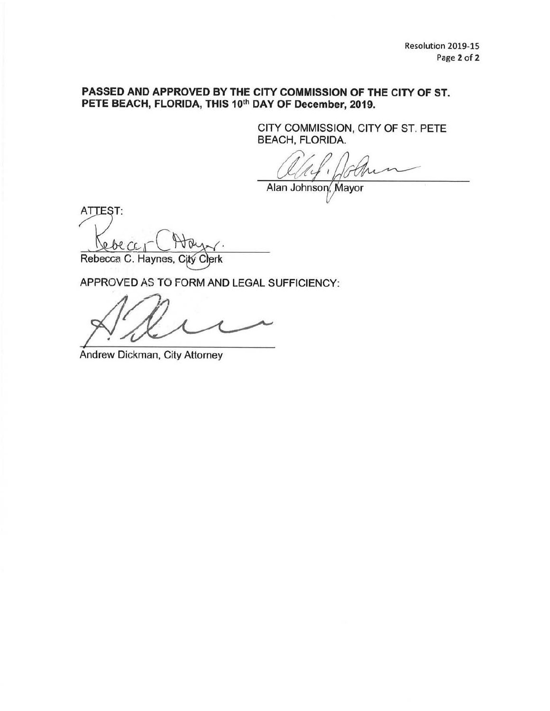# **PASSED AND APPROVED BY THE CITY COMMISSION OF THE CITY OF ST. PETE BEACH, FLORIDA, THIS** 10th **DAY OF December, 2019.**

CITY COMMISSION, CITY OF ST. PETE BEACH, FLORIDA.

COMMISSION OF THE CITY OF ST.<br>OF December, 2019.<br>Y COMMISSION, CITY OF ST. PETE<br>CCH, FLORIDA.<br>an Johnson, Mayor

ATTEST:

be ca

Rebecca C. Haynes, City Clerk

APPROVED AS TO FORM AND LEGAL SUFFICIENCY:

Andrew Dickman, City Attorney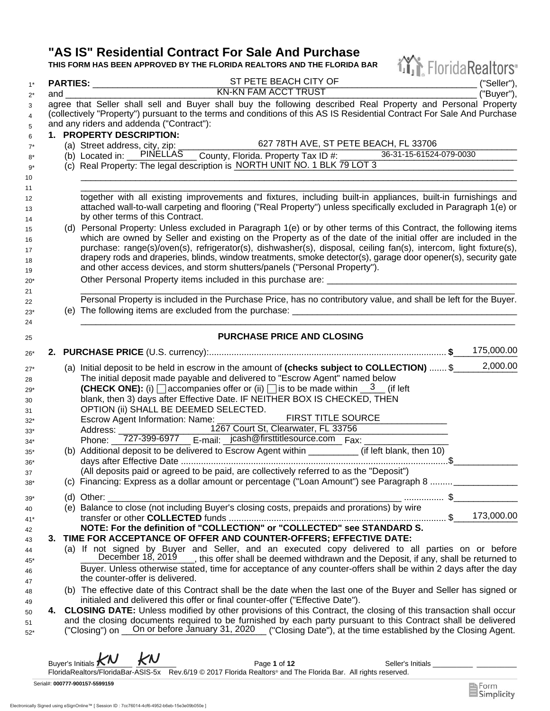# **"AS IS" Residential Contract For Sale And Purchase**

**THIS FORM HAS BEEN APPROVED BY THE FLORIDA REALTORS AND THE FLORIDA BAR**

**WE Florida Realtors** 1\* **PARTIES:** \_\_\_\_\_\_\_\_\_\_\_\_\_\_\_\_\_\_\_\_\_\_\_\_\_\_\_\_\_\_\_\_\_\_\_\_\_\_\_\_\_\_\_\_\_\_\_\_\_\_\_\_\_\_\_\_\_\_\_\_\_\_\_\_\_\_\_\_\_\_\_\_\_\_\_\_\_ ("Seller"), ST PETE BEACH CITY OF 2\* and \_\_\_\_\_\_\_\_\_\_\_\_\_\_\_\_\_\_\_\_\_\_\_\_\_\_\_\_\_\_\_\_\_\_\_\_\_\_\_\_\_\_\_\_\_\_\_\_\_\_\_\_\_\_\_\_\_\_\_\_\_\_\_\_\_\_\_\_\_\_\_\_\_\_\_\_\_\_\_\_\_\_\_ ("Buyer"), KN-KN FAM ACCT TRUST agree that Seller shall sell and Buyer shall buy the following described Real Property and Personal Property 3 (collectively "Property") pursuant to the terms and conditions of this AS IS Residential Contract For Sale And Purchase 4 and any riders and addenda ("Contract"): 5 <sup>6</sup> **1. PROPERTY DESCRIPTION:** 7\* (a) Street address, city, zip: \_\_\_\_\_\_\_\_\_\_\_\_\_\_\_\_\_\_\_\_\_\_\_\_\_\_\_\_\_\_\_\_\_\_\_\_\_\_\_\_\_\_\_\_\_\_\_\_\_\_\_\_\_\_\_\_\_\_\_\_\_\_\_\_\_\_\_\_ 627 78TH AVE, ST PETE BEACH, FL 33706  $_8*$  (b) Located in: PINELLAS County, Florida. Property Tax ID #:  $\frac{36-31-15-61524-079-0030}{\frac{36-31-15-61524-079-0030}{\frac{36-31-15-61524-079-0030}{\frac{36-31-15-61524-079-0030}{\frac{36-31-15-61524-079-0030}{\frac{36-31-15-61524-$ 9\* (c) Real Property: The legal description is NORTH UNIT NO. 1 BLK 79 LOT 3 \_\_\_\_\_\_\_\_\_\_\_\_\_\_\_\_\_\_\_\_\_\_\_\_\_\_\_\_\_\_\_\_\_\_\_\_\_\_\_\_\_\_\_\_\_\_\_\_\_\_\_\_\_\_\_\_\_\_\_\_\_\_\_\_\_\_\_\_\_\_\_\_\_\_\_\_\_\_\_\_\_\_\_\_\_\_\_\_ 10  $\_$  ,  $\_$  ,  $\_$  ,  $\_$  ,  $\_$  ,  $\_$  ,  $\_$  ,  $\_$  ,  $\_$  ,  $\_$  ,  $\_$  ,  $\_$  ,  $\_$  ,  $\_$  ,  $\_$  ,  $\_$  ,  $\_$  ,  $\_$  ,  $\_$  ,  $\_$  ,  $\_$  ,  $\_$  ,  $\_$  ,  $\_$  ,  $\_$  ,  $\_$  ,  $\_$  ,  $\_$  ,  $\_$  ,  $\_$  ,  $\_$  ,  $\_$  ,  $\_$  ,  $\_$  ,  $\_$  ,  $\_$  ,  $\_$  , 11 together with all existing improvements and fixtures, including built-in appliances, built-in furnishings and 12 attached wall-to-wall carpeting and flooring ("Real Property") unless specifically excluded in Paragraph 1(e) or 13 by other terms of this Contract. 14 (d) Personal Property: Unless excluded in Paragraph 1(e) or by other terms of this Contract, the following items 15 which are owned by Seller and existing on the Property as of the date of the initial offer are included in the 16 purchase: range(s)/oven(s), refrigerator(s), dishwasher(s), disposal, ceiling fan(s), intercom, light fixture(s), 17 drapery rods and draperies, blinds, window treatments, smoke detector(s), garage door opener(s), security gate 18 and other access devices, and storm shutters/panels ("Personal Property"). 19 Other Personal Property items included in this purchase are: 20\*  $\_$  , and the state of the state of the state of the state of the state of the state of the state of the state of the state of the state of the state of the state of the state of the state of the state of the state of the 21 Personal Property is included in the Purchase Price, has no contributory value, and shall be left for the Buyer.  $22$ (e) The following items are excluded from the purchase: 23\*  $\_$  ,  $\_$  ,  $\_$  ,  $\_$  ,  $\_$  ,  $\_$  ,  $\_$  ,  $\_$  ,  $\_$  ,  $\_$  ,  $\_$  ,  $\_$  ,  $\_$  ,  $\_$  ,  $\_$  ,  $\_$  ,  $\_$  ,  $\_$  ,  $\_$  ,  $\_$  ,  $\_$  ,  $\_$  ,  $\_$  ,  $\_$  ,  $\_$  ,  $\_$  ,  $\_$  ,  $\_$  ,  $\_$  ,  $\_$  ,  $\_$  ,  $\_$  ,  $\_$  ,  $\_$  ,  $\_$  ,  $\_$  ,  $\_$  , 24 <sup>25</sup> **PURCHASE PRICE AND CLOSING** \_\_\_\_\_\_\_\_\_\_\_\_\_ 175,000.00 26\* **2. PURCHASE PRICE** (U.S. currency):............................................................................................... **\$** \_\_\_\_\_\_\_\_\_\_\_\_\_ 2,000.00 27\* (a) Initial deposit to be held in escrow in the amount of **(checks subject to COLLECTION)** ....... \$ <sup>28</sup> The initial deposit made payable and delivered to "Escrow Agent" named below  $_{29*}$  **(CHECK ONE):** (i)  $\Box$  accompanies offer or (ii)  $\Box$  is to be made within  $\Box$  3 (if left <sup>30</sup> blank, then 3) days after Effective Date. IF NEITHER BOX IS CHECKED, THEN <sup>31</sup> OPTION (ii) SHALL BE DEEMED SELECTED. FIRST TITLE SOURCE 32\* Escrow Agent Information: Name: 33\* Address: 2000 Andress: 2000 1267 Court St, Clearwater, FL 33756 34\* Phone: 727-399-6977 E-mail: jcash@firsttitlesource.com Fax: 35\* (b) Additional deposit to be delivered to Escrow Agent within \_\_\_\_\_\_\_\_\_\_ (if left blank, then 10) 36\* days after Effective Date ........................................................................................................... \$\_\_\_\_\_\_\_\_\_\_\_\_\_ <sup>37</sup> (All deposits paid or agreed to be paid, are collectively referred to as the "Deposit") 38<sup>\*</sup> (c) Financing: Express as a dollar amount or percentage ("Loan Amount") see Paragraph 8 ......... \_\_\_\_\_\_\_\_\_\_\_\_\_ 39\* (d) Other: \_\_\_\_\_\_\_\_\_\_\_\_\_\_\_\_\_\_\_\_\_\_\_\_\_\_\_\_\_\_\_\_\_\_\_\_\_\_\_\_\_\_\_\_\_\_\_\_\_\_\_\_\_\_\_\_\_\_\_ ................ \$\_\_\_\_\_\_\_\_\_\_\_\_\_ <sup>40</sup> (e) Balance to close (not including Buyer's closing costs, prepaids and prorations) by wire \$173,000.00 41\* transfer or other **COLLECTED** funds ....................................................................................... <sup>42</sup> **NOTE: For the definition of "COLLECTION" or "COLLECTED" see STANDARD S.** <sup>43</sup> **3. TIME FOR ACCEPTANCE OF OFFER AND COUNTER-OFFERS; EFFECTIVE DATE:** (a) If not signed by Buyer and Seller, and an executed copy delivered to all parties on or before 44 December 18, 2019 , this offer shall be deemed withdrawn and the Deposit, if any, shall be returned to 45\* Buyer. Unless otherwise stated, time for acceptance of any counter-offers shall be within 2 days after the day 46 the counter-offer is delivered. 47 (b) The effective date of this Contract shall be the date when the last one of the Buyer and Seller has signed or 48 initialed and delivered this offer or final counter-offer ("Effective Date"). 49 **4. CLOSING DATE:** Unless modified by other provisions of this Contract, the closing of this transaction shall occur 50 and the closing documents required to be furnished by each party pursuant to this Contract shall be delivered 51 ("Closing") on Con or before January 31, 2020 ("Closing Date"), at the time established by the Closing Agent. 52\* Buyer's Initials **KN KN KIN**<br>FloridaRealtors/FloridaBar-ASIS-5x Rev.6/19 © 2017 Florida Realtors® and The Florida Bar. All rights reserved. Buyer's Initials  $K$ <sup> $\overline{\phantom{a}}$ </sup>

Page **1** of **12**

Serial#: **000777-900157-5599159**

|  | Electronically Signed using eSignOnline™ [ Session ID : 7cc76014-4cf6-4952-b6eb-15e3e09b050e ] |
|--|------------------------------------------------------------------------------------------------|
|--|------------------------------------------------------------------------------------------------|



Seller's Initials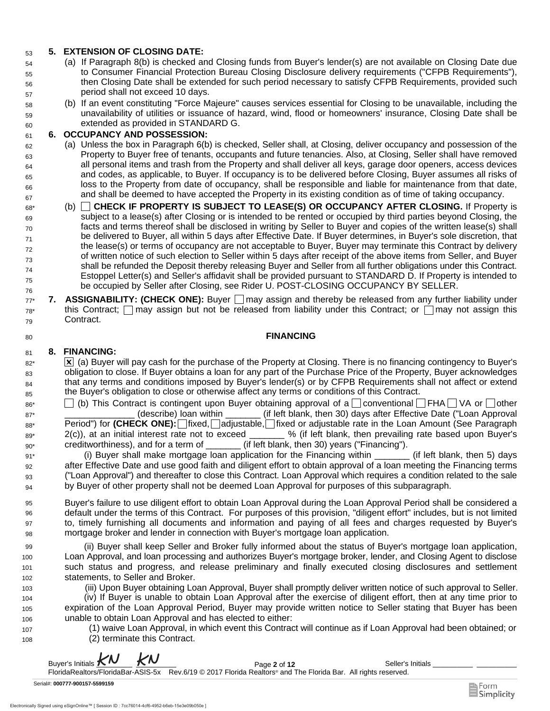#### <sup>53</sup> **5. EXTENSION OF CLOSING DATE:**

58 59 60

86\* 87\* 88\* 89\* 90\*

- (a) If Paragraph 8(b) is checked and Closing funds from Buyer's lender(s) are not available on Closing Date due to Consumer Financial Protection Bureau Closing Disclosure delivery requirements ("CFPB Requirements"), then Closing Date shall be extended for such period necessary to satisfy CFPB Requirements, provided such period shall not exceed 10 days.
	- (b) If an event constituting "Force Majeure" causes services essential for Closing to be unavailable, including the unavailability of utilities or issuance of hazard, wind, flood or homeowners' insurance, Closing Date shall be extended as provided in STANDARD G.

#### <sup>61</sup> **6. OCCUPANCY AND POSSESSION:**

- (a) Unless the box in Paragraph 6(b) is checked, Seller shall, at Closing, deliver occupancy and possession of the Property to Buyer free of tenants, occupants and future tenancies. Also, at Closing, Seller shall have removed all personal items and trash from the Property and shall deliver all keys, garage door openers, access devices and codes, as applicable, to Buyer. If occupancy is to be delivered before Closing, Buyer assumes all risks of loss to the Property from date of occupancy, shall be responsible and liable for maintenance from that date, and shall be deemed to have accepted the Property in its existing condition as of time of taking occupancy.
	- (b) **CHECK IF PROPERTY IS SUBJECT TO LEASE(S) OR OCCUPANCY AFTER CLOSING.** If Property is subject to a lease(s) after Closing or is intended to be rented or occupied by third parties beyond Closing, the facts and terms thereof shall be disclosed in writing by Seller to Buyer and copies of the written lease(s) shall be delivered to Buyer, all within 5 days after Effective Date. If Buyer determines, in Buyer's sole discretion, that the lease(s) or terms of occupancy are not acceptable to Buyer, Buyer may terminate this Contract by delivery of written notice of such election to Seller within 5 days after receipt of the above items from Seller, and Buyer shall be refunded the Deposit thereby releasing Buyer and Seller from all further obligations under this Contract. Estoppel Letter(s) and Seller's affidavit shall be provided pursuant to STANDARD D. If Property is intended to be occupied by Seller after Closing, see Rider U. POST-CLOSING OCCUPANCY BY SELLER.
- 7. ASSIGNABILITY: (CHECK ONE): Buyer  $\Box$  may assign and thereby be released from any further liability under this Contract;  $\Box$  may assign but not be released from liability under this Contract; or  $\Box$  may not assign this Contract. 77\* 78\* 79

#### <sup>80</sup> **FINANCING**

#### <sup>81</sup> **8. FINANCING:**

- $\bar{x}$  (a) Buyer will pay cash for the purchase of the Property at Closing. There is no financing contingency to Buyer's obligation to close. If Buyer obtains a loan for any part of the Purchase Price of the Property, Buyer acknowledges that any terms and conditions imposed by Buyer's lender(s) or by CFPB Requirements shall not affect or extend the Buyer's obligation to close or otherwise affect any terms or conditions of this Contract.
- $\Box$  (b) This Contract is contingent upon Buyer obtaining approval of a  $\Box$ conventional  $\Box$  FHA  $\Box$  VA or  $\Box$ other \_\_\_\_\_\_\_\_\_\_\_\_\_\_ (describe) loan within \_\_\_\_\_\_\_ (if left blank, then 30) days after Effective Date ("Loan Approval Period") for (CHECK ONE):  $\Box$  fixed,  $\Box$  adjustable,  $\Box$  fixed or adjustable rate in the Loan Amount (See Paragraph 2(c)), at an initial interest rate not to exceed \_\_\_\_\_\_\_ % (if left blank, then prevailing rate based upon Buyer's creditworthiness), and for a term of \_\_\_\_\_\_\_ (if left blank, then 30) years ("Financing").

(i) Buyer shall make mortgage loan application for the Financing within \_\_\_\_\_\_\_ (if left blank, then 5) days after Effective Date and use good faith and diligent effort to obtain approval of a loan meeting the Financing terms ("Loan Approval") and thereafter to close this Contract. Loan Approval which requires a condition related to the sale by Buyer of other property shall not be deemed Loan Approval for purposes of this subparagraph. 91\* 92 93 94

- Buyer's failure to use diligent effort to obtain Loan Approval during the Loan Approval Period shall be considered a default under the terms of this Contract. For purposes of this provision, "diligent effort" includes, but is not limited to, timely furnishing all documents and information and paying of all fees and charges requested by Buyer's mortgage broker and lender in connection with Buyer's mortgage loan application. 95 96 97 98
- (ii) Buyer shall keep Seller and Broker fully informed about the status of Buyer's mortgage loan application, Loan Approval, and loan processing and authorizes Buyer's mortgage broker, lender, and Closing Agent to disclose such status and progress, and release preliminary and finally executed closing disclosures and settlement statements, to Seller and Broker. 99 100 101 102
- <sup>103</sup> (iii) Upon Buyer obtaining Loan Approval, Buyer shall promptly deliver written notice of such approval to Seller.
- (iv) If Buyer is unable to obtain Loan Approval after the exercise of diligent effort, then at any time prior to expiration of the Loan Approval Period, Buyer may provide written notice to Seller stating that Buyer has been unable to obtain Loan Approval and has elected to either: 104 105 106
- <sup>107</sup> (1) waive Loan Approval, in which event this Contract will continue as if Loan Approval had been obtained; or <sup>108</sup> (2) terminate this Contract.

Buyer's Initials  $\overline{KN}$   $\overline{KN}$  $\boldsymbol{\mathcal{K}}\boldsymbol{\mathcal{N}}$ 

Seller's Initials Buyer's Initials **KN MUNIC REACT AN AREA**<br>FloridaRealtors/FloridaBar-ASIS-5x Rev.6/19 © 2017 Florida Realtors® and The Florida Bar. All rights reserved. Page **2** of **12**

Serial#: **000777-900157-5599159**

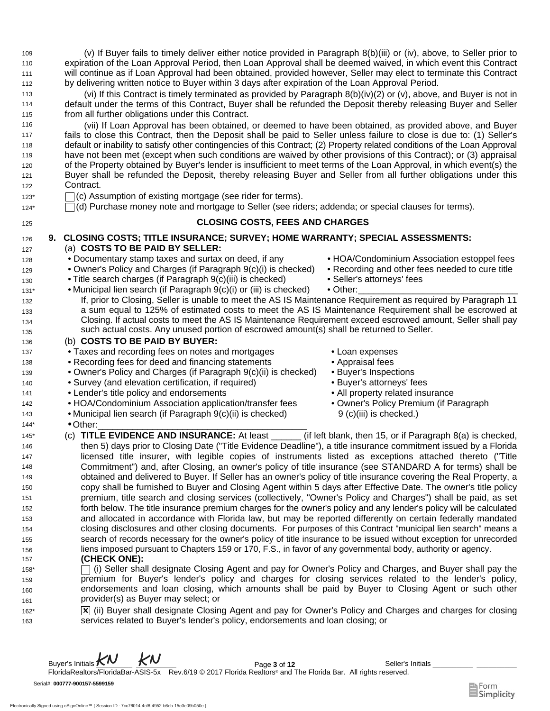| 109           | (v) If Buyer fails to timely deliver either notice provided in Paragraph 8(b)(iii) or (iv), above, to Seller prior to      |                                                                                                                  |  |  |  |
|---------------|----------------------------------------------------------------------------------------------------------------------------|------------------------------------------------------------------------------------------------------------------|--|--|--|
| 110           | expiration of the Loan Approval Period, then Loan Approval shall be deemed waived, in which event this Contract            |                                                                                                                  |  |  |  |
| 111           | will continue as if Loan Approval had been obtained, provided however, Seller may elect to terminate this Contract         |                                                                                                                  |  |  |  |
| 112           | by delivering written notice to Buyer within 3 days after expiration of the Loan Approval Period.                          |                                                                                                                  |  |  |  |
| 113           | (vi) If this Contract is timely terminated as provided by Paragraph 8(b)(iv)(2) or (v), above, and Buyer is not in         |                                                                                                                  |  |  |  |
| 114           |                                                                                                                            | default under the terms of this Contract, Buyer shall be refunded the Deposit thereby releasing Buyer and Seller |  |  |  |
| 115           | from all further obligations under this Contract.                                                                          |                                                                                                                  |  |  |  |
| 116           | (vii) If Loan Approval has been obtained, or deemed to have been obtained, as provided above, and Buyer                    |                                                                                                                  |  |  |  |
| 117           | fails to close this Contract, then the Deposit shall be paid to Seller unless failure to close is due to: (1) Seller's     |                                                                                                                  |  |  |  |
| 118           | default or inability to satisfy other contingencies of this Contract; (2) Property related conditions of the Loan Approval |                                                                                                                  |  |  |  |
| 119           | have not been met (except when such conditions are waived by other provisions of this Contract); or (3) appraisal          |                                                                                                                  |  |  |  |
| 120           | of the Property obtained by Buyer's lender is insufficient to meet terms of the Loan Approval, in which event(s) the       |                                                                                                                  |  |  |  |
| 121           |                                                                                                                            | Buyer shall be refunded the Deposit, thereby releasing Buyer and Seller from all further obligations under this  |  |  |  |
| 122           | Contract.                                                                                                                  |                                                                                                                  |  |  |  |
| $123*$        | $\Box$ (c) Assumption of existing mortgage (see rider for terms).                                                          |                                                                                                                  |  |  |  |
| $124*$        | (d) Purchase money note and mortgage to Seller (see riders; addenda; or special clauses for terms).                        |                                                                                                                  |  |  |  |
|               |                                                                                                                            |                                                                                                                  |  |  |  |
| 125           | <b>CLOSING COSTS, FEES AND CHARGES</b>                                                                                     |                                                                                                                  |  |  |  |
| 126           | 9. CLOSING COSTS; TITLE INSURANCE; SURVEY; HOME WARRANTY; SPECIAL ASSESSMENTS:                                             |                                                                                                                  |  |  |  |
| 127           | (a) COSTS TO BE PAID BY SELLER:                                                                                            |                                                                                                                  |  |  |  |
| 128           | • Documentary stamp taxes and surtax on deed, if any                                                                       | • HOA/Condominium Association estoppel fees                                                                      |  |  |  |
| 129           | • Owner's Policy and Charges (if Paragraph 9(c)(i) is checked)                                                             | • Recording and other fees needed to cure title                                                                  |  |  |  |
| 130           | • Title search charges (if Paragraph 9(c)(iii) is checked)<br>• Seller's attorneys' fees                                   |                                                                                                                  |  |  |  |
| $131*$        | • Municipal lien search (if Paragraph 9(c)(i) or (iii) is checked)<br>• Other:                                             |                                                                                                                  |  |  |  |
| 132           | If, prior to Closing, Seller is unable to meet the AS IS Maintenance Requirement as required by Paragraph 11               |                                                                                                                  |  |  |  |
| 133           | a sum equal to 125% of estimated costs to meet the AS IS Maintenance Requirement shall be escrowed at                      |                                                                                                                  |  |  |  |
| 134           | Closing. If actual costs to meet the AS IS Maintenance Requirement exceed escrowed amount, Seller shall pay                |                                                                                                                  |  |  |  |
| 135           | such actual costs. Any unused portion of escrowed amount(s) shall be returned to Seller.                                   |                                                                                                                  |  |  |  |
| 136           | (b) COSTS TO BE PAID BY BUYER:                                                                                             |                                                                                                                  |  |  |  |
| 137           | • Taxes and recording fees on notes and mortgages<br>• Loan expenses                                                       |                                                                                                                  |  |  |  |
| 138           | • Recording fees for deed and financing statements<br>• Appraisal fees                                                     |                                                                                                                  |  |  |  |
| 139           | • Owner's Policy and Charges (if Paragraph 9(c)(ii) is checked)<br>• Buyer's Inspections                                   |                                                                                                                  |  |  |  |
| 140           | • Survey (and elevation certification, if required)<br>• Buyer's attorneys' fees                                           |                                                                                                                  |  |  |  |
| 141           | • Lender's title policy and endorsements<br>• All property related insurance                                               |                                                                                                                  |  |  |  |
| 142           | • HOA/Condominium Association application/transfer fees                                                                    | • Owner's Policy Premium (if Paragraph                                                                           |  |  |  |
| 143           | • Municipal lien search (if Paragraph 9(c)(ii) is checked)<br>9 (c)(iii) is checked.)                                      |                                                                                                                  |  |  |  |
| $144*$        | •Other:                                                                                                                    |                                                                                                                  |  |  |  |
| $145*$        | (c) TITLE EVIDENCE AND INSURANCE: At least ______ (if left blank, then 15, or if Paragraph 8(a) is checked,                |                                                                                                                  |  |  |  |
| 146           | then 5) days prior to Closing Date ("Title Evidence Deadline"), a title insurance commitment issued by a Florida           |                                                                                                                  |  |  |  |
| 147           | licensed title insurer, with legible copies of instruments listed as exceptions attached thereto ("Title                   |                                                                                                                  |  |  |  |
| 148           | Commitment") and, after Closing, an owner's policy of title insurance (see STANDARD A for terms) shall be                  |                                                                                                                  |  |  |  |
| 149           | obtained and delivered to Buyer. If Seller has an owner's policy of title insurance covering the Real Property, a          |                                                                                                                  |  |  |  |
| 150           | copy shall be furnished to Buyer and Closing Agent within 5 days after Effective Date. The owner's title policy            |                                                                                                                  |  |  |  |
| 151           | premium, title search and closing services (collectively, "Owner's Policy and Charges") shall be paid, as set              |                                                                                                                  |  |  |  |
| 152           | forth below. The title insurance premium charges for the owner's policy and any lender's policy will be calculated         |                                                                                                                  |  |  |  |
| 153           | and allocated in accordance with Florida law, but may be reported differently on certain federally mandated                |                                                                                                                  |  |  |  |
| 154           | closing disclosures and other closing documents. For purposes of this Contract "municipal lien search" means a             |                                                                                                                  |  |  |  |
|               | search of records necessary for the owner's policy of title insurance to be issued without exception for unrecorded        |                                                                                                                  |  |  |  |
| 155           | liens imposed pursuant to Chapters 159 or 170, F.S., in favor of any governmental body, authority or agency.               |                                                                                                                  |  |  |  |
| 156<br>157    | (CHECK ONE):                                                                                                               |                                                                                                                  |  |  |  |
| $158*$        | (i) Seller shall designate Closing Agent and pay for Owner's Policy and Charges, and Buyer shall pay the                   |                                                                                                                  |  |  |  |
| 159           | premium for Buyer's lender's policy and charges for closing services related to the lender's policy,                       |                                                                                                                  |  |  |  |
|               | endorsements and loan closing, which amounts shall be paid by Buyer to Closing Agent or such other                         |                                                                                                                  |  |  |  |
| 160           | provider(s) as Buyer may select; or                                                                                        |                                                                                                                  |  |  |  |
| 161           | $\overline{x}$ (ii) Buyer shall designate Closing Agent and pay for Owner's Policy and Charges and charges for closing     |                                                                                                                  |  |  |  |
| $162*$<br>163 | services related to Buyer's lender's policy, endorsements and loan closing; or                                             |                                                                                                                  |  |  |  |
|               |                                                                                                                            |                                                                                                                  |  |  |  |

Buyer's Initials **KN KN Page 3** of 12

FloridaRealtors/FloridaBar-ASIS-5x Rev.6/19 © 2017 Florida Realtors® and The Florida Bar. All rights reserved.

Serial#: **000777-900157-5599159**



Seller's Initials \_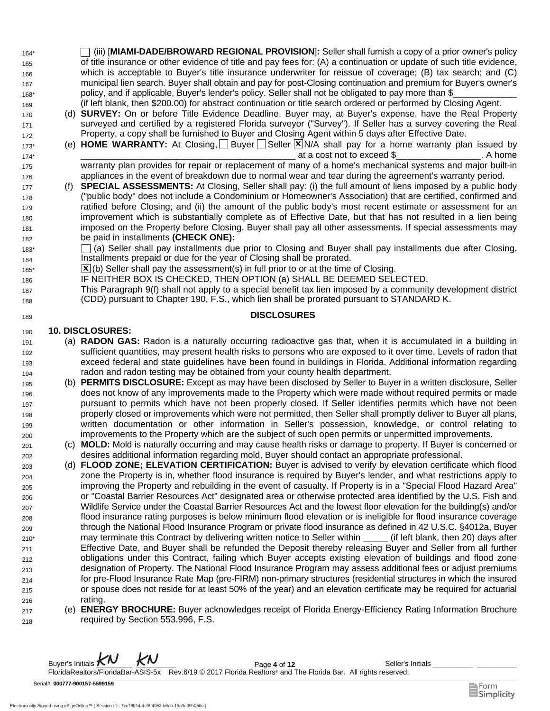(iii) [**MIAMI-DADE/BROWARD REGIONAL PROVISION**]**:** Seller shall furnish a copy of a prior owner's policy of title insurance or other evidence of title and pay fees for: (A) a continuation or update of such title evidence, which is acceptable to Buyer's title insurance underwriter for reissue of coverage; (B) tax search; and (C) municipal lien search. Buyer shall obtain and pay for post-Closing continuation and premium for Buyer's owner's policy, and if applicable, Buyer's lender's policy. Seller shall not be obligated to pay more than \$

- (if left blank, then \$200.00) for abstract continuation or title search ordered or performed by Closing Agent. 169 (d) **SURVEY:** On or before Title Evidence Deadline, Buyer may, at Buyer's expense, have the Real Property surveyed and certified by a registered Florida surveyor ("Survey"). If Seller has a survey covering the Real Property, a copy shall be furnished to Buyer and Closing Agent within 5 days after Effective Date. 170 171 172
- (e) HOME WARRANTY: At Closing, $\Box$  Buyer  $\Box$  Seller  $\boxtimes$  N/A shall pay for a home warranty plan issued by at a cost not to exceed \$. warranty plan provides for repair or replacement of many of a home's mechanical systems and major built-in 173\* 174\* 175 176
	- appliances in the event of breakdown due to normal wear and tear during the agreement's warranty period. (f) **SPECIAL ASSESSMENTS:** At Closing, Seller shall pay: (i) the full amount of liens imposed by a public body ("public body" does not include a Condominium or Homeowner's Association) that are certified, confirmed and ratified before Closing; and (ii) the amount of the public body's most recent estimate or assessment for an improvement which is substantially complete as of Effective Date, but that has not resulted in a lien being imposed on the Property before Closing. Buyer shall pay all other assessments. If special assessments may be paid in installments **(CHECK ONE):**
		- $\Box$  (a) Seller shall pay installments due prior to Closing and Buyer shall pay installments due after Closing. Installments prepaid or due for the year of Closing shall be prorated.
- $\mathbf{X}$  (b) Seller shall pay the assessment(s) in full prior to or at the time of Closing.
- <sup>186</sup> IF NEITHER BOX IS CHECKED, THEN OPTION (a) SHALL BE DEEMED SELECTED.
	- This Paragraph 9(f) shall not apply to a special benefit tax lien imposed by a community development district (CDD) pursuant to Chapter 190, F.S., which lien shall be prorated pursuant to STANDARD K.

#### <sup>189</sup> **DISCLOSURES**

#### <sup>190</sup> **10. DISCLOSURES:**

164\* 165 166 167 168\*

183\* 184

187 188

201 202

217 218

- (a) **RADON GAS:** Radon is a naturally occurring radioactive gas that, when it is accumulated in a building in sufficient quantities, may present health risks to persons who are exposed to it over time. Levels of radon that exceed federal and state guidelines have been found in buildings in Florida. Additional information regarding radon and radon testing may be obtained from your county health department.
- (b) **PERMITS DISCLOSURE:** Except as may have been disclosed by Seller to Buyer in a written disclosure, Seller does not know of any improvements made to the Property which were made without required permits or made pursuant to permits which have not been properly closed. If Seller identifies permits which have not been properly closed or improvements which were not permitted, then Seller shall promptly deliver to Buyer all plans, written documentation or other information in Seller's possession, knowledge, or control relating to improvements to the Property which are the subject of such open permits or unpermitted improvements.
	- (c) **MOLD:** Mold is naturally occurring and may cause health risks or damage to property. If Buyer is concerned or desires additional information regarding mold, Buyer should contact an appropriate professional.
- (d) **FLOOD ZONE; ELEVATION CERTIFICATION:** Buyer is advised to verify by elevation certificate which flood zone the Property is in, whether flood insurance is required by Buyer's lender, and what restrictions apply to improving the Property and rebuilding in the event of casualty. If Property is in a "Special Flood Hazard Area" or "Coastal Barrier Resources Act" designated area or otherwise protected area identified by the U.S. Fish and Wildlife Service under the Coastal Barrier Resources Act and the lowest floor elevation for the building(s) and/or flood insurance rating purposes is below minimum flood elevation or is ineligible for flood insurance coverage through the National Flood Insurance Program or private flood insurance as defined in 42 U.S.C. §4012a, Buyer may terminate this Contract by delivering written notice to Seller within (if left blank, then 20) days after Effective Date, and Buyer shall be refunded the Deposit thereby releasing Buyer and Seller from all further obligations under this Contract, failing which Buyer accepts existing elevation of buildings and flood zone designation of Property. The National Flood Insurance Program may assess additional fees or adjust premiums for pre-Flood Insurance Rate Map (pre-FIRM) non-primary structures (residential structures in which the insured or spouse does not reside for at least 50% of the year) and an elevation certificate may be required for actuarial rating.
- (e) **ENERGY BROCHURE:** Buyer acknowledges receipt of Florida Energy-Efficiency Rating Information Brochure required by Section 553.996, F.S.

Buyer's Initials  $K$ <sup> $\overline{\phantom{a}}$ </sup>  $K$ N

Seller's Initials FloridaRealtors/FloridaBar-ASIS-5x Rev.6/19 © 2017 Florida Realtors® and The Florida Bar. All rights reserved. Page **4** of **12**

Serial#: **000777-900157-5599159**

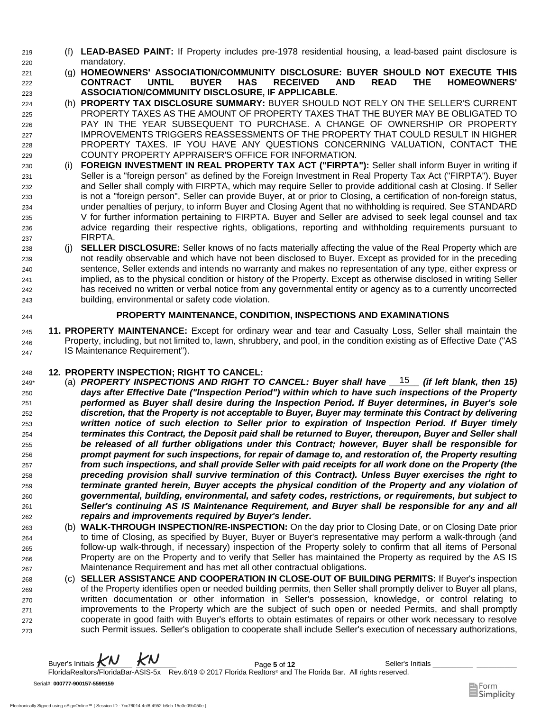- (f) **LEAD-BASED PAINT:** If Property includes pre-1978 residential housing, a lead-based paint disclosure is mandatory. 219 220
- (g) **HOMEOWNERS' ASSOCIATION/COMMUNITY DISCLOSURE: BUYER SHOULD NOT EXECUTE THIS CONTRACT UNTIL BUYER HAS RECEIVED AND READ THE HOMEOWNERS' ASSOCIATION/COMMUNITY DISCLOSURE, IF APPLICABLE.** 221 222 223
- (h) **PROPERTY TAX DISCLOSURE SUMMARY:** BUYER SHOULD NOT RELY ON THE SELLER'S CURRENT PROPERTY TAXES AS THE AMOUNT OF PROPERTY TAXES THAT THE BUYER MAY BE OBLIGATED TO PAY IN THE YEAR SUBSEQUENT TO PURCHASE. A CHANGE OF OWNERSHIP OR PROPERTY IMPROVEMENTS TRIGGERS REASSESSMENTS OF THE PROPERTY THAT COULD RESULT IN HIGHER PROPERTY TAXES. IF YOU HAVE ANY QUESTIONS CONCERNING VALUATION, CONTACT THE COUNTY PROPERTY APPRAISER'S OFFICE FOR INFORMATION. 224 225 226 227 228 229
- (i) **FOREIGN INVESTMENT IN REAL PROPERTY TAX ACT ("FIRPTA"):** Seller shall inform Buyer in writing if Seller is a "foreign person" as defined by the Foreign Investment in Real Property Tax Act ("FIRPTA"). Buyer and Seller shall comply with FIRPTA, which may require Seller to provide additional cash at Closing. If Seller is not a "foreign person", Seller can provide Buyer, at or prior to Closing, a certification of non-foreign status, under penalties of perjury, to inform Buyer and Closing Agent that no withholding is required. See STANDARD V for further information pertaining to FIRPTA. Buyer and Seller are advised to seek legal counsel and tax advice regarding their respective rights, obligations, reporting and withholding requirements pursuant to FIRPTA. 230 231 232 233 234 235 236 237
- (j) **SELLER DISCLOSURE:** Seller knows of no facts materially affecting the value of the Real Property which are not readily observable and which have not been disclosed to Buyer. Except as provided for in the preceding sentence, Seller extends and intends no warranty and makes no representation of any type, either express or implied, as to the physical condition or history of the Property. Except as otherwise disclosed in writing Seller has received no written or verbal notice from any governmental entity or agency as to a currently uncorrected building, environmental or safety code violation. 238 239 240 241 242 243

#### <sup>244</sup> **PROPERTY MAINTENANCE, CONDITION, INSPECTIONS AND EXAMINATIONS**

**11. PROPERTY MAINTENANCE:** Except for ordinary wear and tear and Casualty Loss, Seller shall maintain the Property, including, but not limited to, lawn, shrubbery, and pool, in the condition existing as of Effective Date ("AS IS Maintenance Requirement"). 245 246 247

#### <sup>248</sup> **12. .PROPERTY INSPECTION; RIGHT TO CANCEL:**

- (a) PROPERTY INSPECTIONS AND RIGHT TO CANCEL: Buyer shall have \_\_<sup>\_\_\_\_\_</sup> (if left blank, then 15) *days after Effective Date ("Inspection Period") within which to have such inspections of the Property performed* **as** *Buyer shall desire during the Inspection Period. If Buyer determines, in Buyer's sole discretion, that the Property is not acceptable to Buyer, Buyer may terminate this Contract by delivering written notice of such election to Seller prior to expiration of Inspection Period. If Buyer timely terminates this Contract, the Deposit paid shall be returned to Buyer, thereupon, Buyer and Seller shall be released of all further obligations under this Contract; however, Buyer shall be responsible for prompt payment for such inspections, for repair of damage to, and restoration of, the Property resulting from such inspections, and shall provide Seller with paid receipts for all work done on the Property (the preceding provision shall survive termination of this Contract). Unless Buyer exercises the right to terminate granted herein, Buyer accepts the physical condition of the Property and any violation of governmental, building, environmental, and safety codes, restrictions, or requirements, but subject to Seller's continuing AS IS Maintenance Requirement, and Buyer shall be responsible for any and all repairs and improvements required by Buyer's lender.* 249\* 250 251 252 253 254 255 256 257 258 259 260 261 262
	- (b) **WALK-THROUGH INSPECTION/RE-INSPECTION:** On the day prior to Closing Date, or on Closing Date prior to time of Closing, as specified by Buyer, Buyer or Buyer's representative may perform a walk-through (and follow-up walk-through, if necessary) inspection of the Property solely to confirm that all items of Personal Property are on the Property and to verify that Seller has maintained the Property as required by the AS IS Maintenance Requirement and has met all other contractual obligations.
		- (c) **SELLER ASSISTANCE AND COOPERATION IN CLOSE-OUT OF BUILDING PERMITS:** If Buyer's inspection of the Property identifies open or needed building permits, then Seller shall promptly deliver to Buyer all plans, written documentation or other information in Seller's possession, knowledge, or control relating to improvements to the Property which are the subject of such open or needed Permits, and shall promptly cooperate in good faith with Buyer's efforts to obtain estimates of repairs or other work necessary to resolve such Permit issues. Seller's obligation to cooperate shall include Seller's execution of necessary authorizations,

Buyer's Initials  $\cancel{KN}$   $\cancel{KN}$  $\boldsymbol{\mathcal{K}}\boldsymbol{\mathcal{N}}$ 

Page **5** of **12**



FloridaRealtors/FloridaBar-ASIS-5x

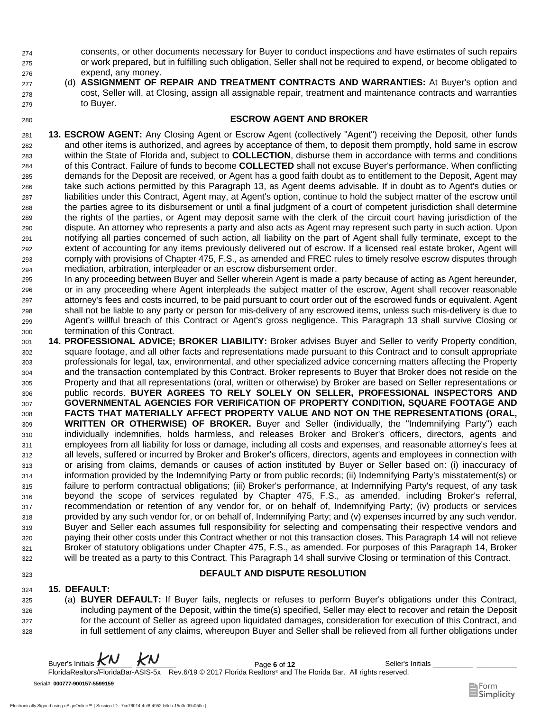- consents, or other documents necessary for Buyer to conduct inspections and have estimates of such repairs or work prepared, but in fulfilling such obligation, Seller shall not be required to expend, or become obligated to expend, any money. 274 275 276
- (d) **ASSIGNMENT OF REPAIR AND TREATMENT CONTRACTS AND WARRANTIES:** At Buyer's option and cost, Seller will, at Closing, assign all assignable repair, treatment and maintenance contracts and warranties to Buyer. 277 278 279

### <sup>280</sup> **ESCROW AGENT AND BROKER**

- **13. ESCROW AGENT:** Any Closing Agent or Escrow Agent (collectively "Agent") receiving the Deposit, other funds and other items is authorized, and agrees by acceptance of them, to deposit them promptly, hold same in escrow within the State of Florida and, subject to **COLLECTION**, disburse them in accordance with terms and conditions of this Contract. Failure of funds to become **COLLECTED** shall not excuse Buyer's performance. When conflicting demands for the Deposit are received, or Agent has a good faith doubt as to entitlement to the Deposit, Agent may take such actions permitted by this Paragraph 13, as Agent deems advisable. If in doubt as to Agent's duties or liabilities under this Contract, Agent may, at Agent's option, continue to hold the subject matter of the escrow until the parties agree to its disbursement or until a final judgment of a court of competent jurisdiction shall determine the rights of the parties, or Agent may deposit same with the clerk of the circuit court having jurisdiction of the dispute. An attorney who represents a party and also acts as Agent may represent such party in such action. Upon notifying all parties concerned of such action, all liability on the part of Agent shall fully terminate, except to the extent of accounting for any items previously delivered out of escrow. If a licensed real estate broker, Agent will comply with provisions of Chapter 475, F.S., as amended and FREC rules to timely resolve escrow disputes through mediation, arbitration, interpleader or an escrow disbursement order. 281 282 283 284 285 286 287 288 289 290 291 292 293 294
- In any proceeding between Buyer and Seller wherein Agent is made a party because of acting as Agent hereunder, or in any proceeding where Agent interpleads the subject matter of the escrow, Agent shall recover reasonable attorney's fees and costs incurred, to be paid pursuant to court order out of the escrowed funds or equivalent. Agent shall not be liable to any party or person for mis-delivery of any escrowed items, unless such mis-delivery is due to Agent's willful breach of this Contract or Agent's gross negligence. This Paragraph 13 shall survive Closing or termination of this Contract. 295 296 297 298 299 300
- **14. PROFESSIONAL ADVICE; BROKER LIABILITY:** Broker advises Buyer and Seller to verify Property condition, square footage, and all other facts and representations made pursuant to this Contract and to consult appropriate professionals for legal, tax, environmental, and other specialized advice concerning matters affecting the Property and the transaction contemplated by this Contract. Broker represents to Buyer that Broker does not reside on the Property and that all representations (oral, written or otherwise) by Broker are based on Seller representations or public records. **BUYER AGREES TO RELY SOLELY ON SELLER, PROFESSIONAL INSPECTORS AND GOVERNMENTAL AGENCIES FOR VERIFICATION OF PROPERTY CONDITION, SQUARE FOOTAGE AND FACTS THAT MATERIALLY AFFECT PROPERTY VALUE AND NOT ON THE REPRESENTATIONS (ORAL, WRITTEN OR OTHERWISE) OF BROKER.** Buyer and Seller (individually, the "Indemnifying Party") each individually indemnifies, holds harmless, and releases Broker and Broker's officers, directors, agents and employees from all liability for loss or damage, including all costs and expenses, and reasonable attorney's fees at all levels, suffered or incurred by Broker and Broker's officers, directors, agents and employees in connection with or arising from claims, demands or causes of action instituted by Buyer or Seller based on: (i) inaccuracy of information provided by the Indemnifying Party or from public records; (ii) Indemnifying Party's misstatement(s) or failure to perform contractual obligations; (iii) Broker's performance, at Indemnifying Party's request, of any task beyond the scope of services regulated by Chapter 475, F.S., as amended, including Broker's referral, recommendation or retention of any vendor for, or on behalf of, Indemnifying Party; (iv) products or services provided by any such vendor for, or on behalf of, Indemnifying Party; and (v) expenses incurred by any such vendor. Buyer and Seller each assumes full responsibility for selecting and compensating their respective vendors and paying their other costs under this Contract whether or not this transaction closes. This Paragraph 14 will not relieve Broker of statutory obligations under Chapter 475, F.S., as amended. For purposes of this Paragraph 14, Broker will be treated as a party to this Contract. This Paragraph 14 shall survive Closing or termination of this Contract. 301 302 303 304 305 306 307 308 309 310 311 312 313 314 315 316 317 318 319 320 321 322

#### <sup>323</sup> **DEFAULT AND DISPUTE RESOLUTION**

#### <sup>324</sup> **15. .DEFAULT:**

(a) **BUYER DEFAULT:** If Buyer fails, neglects or refuses to perform Buyer's obligations under this Contract, including payment of the Deposit, within the time(s) specified, Seller may elect to recover and retain the Deposit for the account of Seller as agreed upon liquidated damages, consideration for execution of this Contract, and in full settlement of any claims, whereupon Buyer and Seller shall be relieved from all further obligations under 325 326 327 328

Buyer's Initials  $\overline{KN}$   $\overline{KN}$  $\frac{1}{N}$  KN

Page **6** of **12**

Seller's Initials FloridaRealtors/FloridaBar-ASIS-5x Rev.6/19 © 2017 Florida Realtors® and The Florida Bar. All rights reserved.

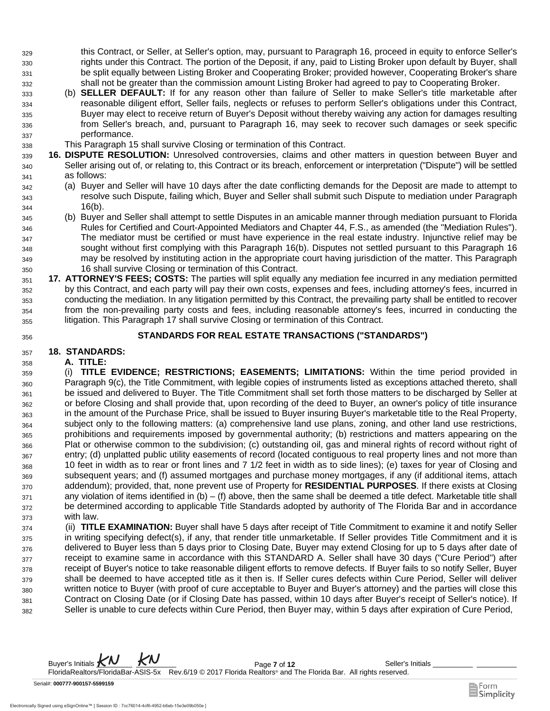this Contract, or Seller, at Seller's option, may, pursuant to Paragraph 16, proceed in equity to enforce Seller's rights under this Contract. The portion of the Deposit, if any, paid to Listing Broker upon default by Buyer, shall be split equally between Listing Broker and Cooperating Broker; provided however, Cooperating Broker's share shall not be greater than the commission amount Listing Broker had agreed to pay to Cooperating Broker. 329 330 331 332

(b) **SELLER DEFAULT:** If for any reason other than failure of Seller to make Seller's title marketable after reasonable diligent effort, Seller fails, neglects or refuses to perform Seller's obligations under this Contract, Buyer may elect to receive return of Buyer's Deposit without thereby waiving any action for damages resulting from Seller's breach, and, pursuant to Paragraph 16, may seek to recover such damages or seek specific performance. 333 334 335 336 337

<sup>338</sup> This Paragraph 15 shall survive Closing or termination of this Contract.

- **16. DISPUTE RESOLUTION:** Unresolved controversies, claims and other matters in question between Buyer and Seller arising out of, or relating to, this Contract or its breach, enforcement or interpretation ("Dispute") will be settled as follows: 339 340 341
- (a) Buyer and Seller will have 10 days after the date conflicting demands for the Deposit are made to attempt to resolve such Dispute, failing which, Buyer and Seller shall submit such Dispute to mediation under Paragraph 16(b). 342 343 344
- (b) Buyer and Seller shall attempt to settle Disputes in an amicable manner through mediation pursuant to Florida Rules for Certified and Court-Appointed Mediators and Chapter 44, F.S., as amended (the "Mediation Rules"). The mediator must be certified or must have experience in the real estate industry. Injunctive relief may be sought without first complying with this Paragraph 16(b). Disputes not settled pursuant to this Paragraph 16 may be resolved by instituting action in the appropriate court having jurisdiction of the matter. This Paragraph 16 shall survive Closing or termination of this Contract. 345 346 347 348 349 350
- **17. ATTORNEY'S FEES; COSTS:** The parties will split equally any mediation fee incurred in any mediation permitted by this Contract, and each party will pay their own costs, expenses and fees, including attorney's fees, incurred in conducting the mediation. In any litigation permitted by this Contract, the prevailing party shall be entitled to recover from the non-prevailing party costs and fees, including reasonable attorney's fees, incurred in conducting the litigation. This Paragraph 17 shall survive Closing or termination of this Contract. 351 352 353 354 355

## <sup>356</sup> **STANDARDS FOR REAL ESTATE TRANSACTIONS ("STANDARDS")**

### <sup>357</sup> **18. STANDARDS:**

#### <sup>358</sup> **A. TITLE:**

(i) **TITLE EVIDENCE; RESTRICTIONS; EASEMENTS; LIMITATIONS:** Within the time period provided in Paragraph 9(c), the Title Commitment, with legible copies of instruments listed as exceptions attached thereto, shall be issued and delivered to Buyer. The Title Commitment shall set forth those matters to be discharged by Seller at or before Closing and shall provide that, upon recording of the deed to Buyer, an owner's policy of title insurance in the amount of the Purchase Price, shall be issued to Buyer insuring Buyer's marketable title to the Real Property, subject only to the following matters: (a) comprehensive land use plans, zoning, and other land use restrictions, prohibitions and requirements imposed by governmental authority; (b) restrictions and matters appearing on the Plat or otherwise common to the subdivision; (c) outstanding oil, gas and mineral rights of record without right of entry; (d) unplatted public utility easements of record (located contiguous to real property lines and not more than 10 feet in width as to rear or front lines and 7 1/2 feet in width as to side lines); (e) taxes for year of Closing and subsequent years; and (f) assumed mortgages and purchase money mortgages, if any (if additional items, attach addendum); provided, that, none prevent use of Property for **RESIDENTIAL PURPOSES**. If there exists at Closing any violation of items identified in  $(b) - (f)$  above, then the same shall be deemed a title defect. Marketable title shall be determined according to applicable Title Standards adopted by authority of The Florida Bar and in accordance with law. 359 360 361 362 363 364 365 366 367 368 369 370 371 372 373

(ii) **TITLE EXAMINATION:** Buyer shall have 5 days after receipt of Title Commitment to examine it and notify Seller in writing specifying defect(s), if any, that render title unmarketable. If Seller provides Title Commitment and it is delivered to Buyer less than 5 days prior to Closing Date, Buyer may extend Closing for up to 5 days after date of receipt to examine same in accordance with this STANDARD A. Seller shall have 30 days ("Cure Period") after receipt of Buyer's notice to take reasonable diligent efforts to remove defects. If Buyer fails to so notify Seller, Buyer shall be deemed to have accepted title as it then is. If Seller cures defects within Cure Period, Seller will deliver written notice to Buyer (with proof of cure acceptable to Buyer and Buyer's attorney) and the parties will close this Contract on Closing Date (or if Closing Date has passed, within 10 days after Buyer's receipt of Seller's notice). If Seller is unable to cure defects within Cure Period, then Buyer may, within 5 days after expiration of Cure Period, 374 375 376 377 378 379 380 381 382

Buyer's Initials  $\cancel{KN}$   $\cancel{KN}$  $\frac{1}{N}$  KN

Rev.6/19 © 2017 Florida Realtors® and The Florida Bar. All rights reserved. Page **7** of **12**

Serial#: **000777-900157-5599159**



Seller's Initials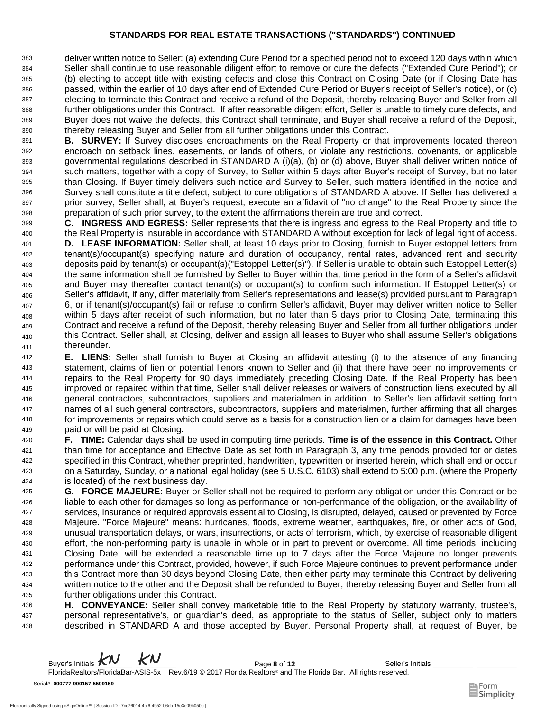deliver written notice to Seller: (a) extending Cure Period for a specified period not to exceed 120 days within which Seller shall continue to use reasonable diligent effort to remove or cure the defects ("Extended Cure Period"); or (b) electing to accept title with existing defects and close this Contract on Closing Date (or if Closing Date has passed, within the earlier of 10 days after end of Extended Cure Period or Buyer's receipt of Seller's notice), or (c) electing to terminate this Contract and receive a refund of the Deposit, thereby releasing Buyer and Seller from all further obligations under this Contract. If after reasonable diligent effort, Seller is unable to timely cure defects, and Buyer does not waive the defects, this Contract shall terminate, and Buyer shall receive a refund of the Deposit, thereby releasing Buyer and Seller from all further obligations under this Contract. 383 384 385 386 387 388 389 390

**B. SURVEY:** If Survey discloses encroachments on the Real Property or that improvements located thereon encroach on setback lines, easements, or lands of others, or violate any restrictions, covenants, or applicable governmental regulations described in STANDARD A (i)(a), (b) or (d) above, Buyer shall deliver written notice of such matters, together with a copy of Survey, to Seller within 5 days after Buyer's receipt of Survey, but no later than Closing. If Buyer timely delivers such notice and Survey to Seller, such matters identified in the notice and Survey shall constitute a title defect, subject to cure obligations of STANDARD A above. If Seller has delivered a prior survey, Seller shall, at Buyer's request, execute an affidavit of "no change" to the Real Property since the preparation of such prior survey, to the extent the affirmations therein are true and correct. 391 392 393 394 395 396 397 398

**C. INGRESS AND EGRESS:** Seller represents that there is ingress and egress to the Real Property and title to the Real Property is insurable in accordance with STANDARD A without exception for lack of legal right of access. 399 400 **D. LEASE INFORMATION:** Seller shall, at least 10 days prior to Closing, furnish to Buyer estoppel letters from tenant(s)/occupant(s) specifying nature and duration of occupancy, rental rates, advanced rent and security deposits paid by tenant(s) or occupant(s)("Estoppel Letter(s)"). If Seller is unable to obtain such Estoppel Letter(s) the same information shall be furnished by Seller to Buyer within that time period in the form of a Seller's affidavit and Buyer may thereafter contact tenant(s) or occupant(s) to confirm such information. If Estoppel Letter(s) or Seller's affidavit, if any, differ materially from Seller's representations and lease(s) provided pursuant to Paragraph 6, or if tenant(s)/occupant(s) fail or refuse to confirm Seller's affidavit, Buyer may deliver written notice to Seller within 5 days after receipt of such information, but no later than 5 days prior to Closing Date, terminating this Contract and receive a refund of the Deposit, thereby releasing Buyer and Seller from all further obligations under this Contract. Seller shall, at Closing, deliver and assign all leases to Buyer who shall assume Seller's obligations thereunder. 401 402 403 404 405 406 407 408 409 410 411

**E. LIENS:** Seller shall furnish to Buyer at Closing an affidavit attesting (i) to the absence of any financing statement, claims of lien or potential lienors known to Seller and (ii) that there have been no improvements or repairs to the Real Property for 90 days immediately preceding Closing Date. If the Real Property has been improved or repaired within that time, Seller shall deliver releases or waivers of construction liens executed by all general contractors, subcontractors, suppliers and materialmen in addition to Seller's lien affidavit setting forth names of all such general contractors, subcontractors, suppliers and materialmen, further affirming that all charges for improvements or repairs which could serve as a basis for a construction lien or a claim for damages have been paid or will be paid at Closing. 412 413 414 415 416 417 418 419

**F. TIME:** Calendar days shall be used in computing time periods. **Time is of the essence in this Contract.** Other than time for acceptance and Effective Date as set forth in Paragraph 3, any time periods provided for or dates specified in this Contract, whether preprinted, handwritten, typewritten or inserted herein, which shall end or occur on a Saturday, Sunday, or a national legal holiday (see 5 U.S.C. 6103) shall extend to 5:00 p.m. (where the Property is located) of the next business day. 420 421 422 423 424

**G. FORCE MAJEURE:** Buyer or Seller shall not be required to perform any obligation under this Contract or be liable to each other for damages so long as performance or non-performance of the obligation, or the availability of services, insurance or required approvals essential to Closing, is disrupted, delayed, caused or prevented by Force Majeure. "Force Majeure" means: hurricanes, floods, extreme weather, earthquakes, fire, or other acts of God, unusual transportation delays, or wars, insurrections, or acts of terrorism, which, by exercise of reasonable diligent effort, the non-performing party is unable in whole or in part to prevent or overcome. All time periods, including Closing Date, will be extended a reasonable time up to 7 days after the Force Majeure no longer prevents performance under this Contract, provided, however, if such Force Majeure continues to prevent performance under this Contract more than 30 days beyond Closing Date, then either party may terminate this Contract by delivering written notice to the other and the Deposit shall be refunded to Buyer, thereby releasing Buyer and Seller from all further obligations under this Contract. 425 426 427 428 429 430 431 432 433 434 435

**H. CONVEYANCE:** Seller shall convey marketable title to the Real Property by statutory warranty, trustee's, personal representative's, or guardian's deed, as appropriate to the status of Seller, subject only to matters described in STANDARD A and those accepted by Buyer. Personal Property shall, at request of Buyer, be 436 437 438

Buyer's Initials  $\overline{K\mathcal{N}}$   $\overline{K\mathcal{N}}$  $\cal{K}N$ 

Page **8** of **12**

Seller's Initials FloridaRealtors/FloridaBar-ASIS-5x Rev.6/19 © 2017 Florida Realtors® and The Florida Bar. All rights reserved.

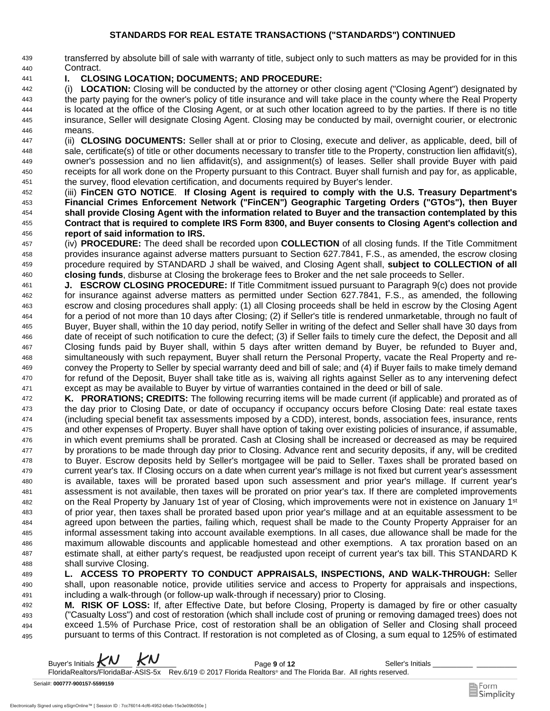transferred by absolute bill of sale with warranty of title, subject only to such matters as may be provided for in this Contract. 439 440

### <sup>441</sup> **I. CLOSING LOCATION; DOCUMENTS; AND PROCEDURE:**

(i) **LOCATION:** Closing will be conducted by the attorney or other closing agent ("Closing Agent") designated by the party paying for the owner's policy of title insurance and will take place in the county where the Real Property is located at the office of the Closing Agent, or at such other location agreed to by the parties. If there is no title insurance, Seller will designate Closing Agent. Closing may be conducted by mail, overnight courier, or electronic means. 442 443 444 445 446

(ii) **CLOSING DOCUMENTS:** Seller shall at or prior to Closing, execute and deliver, as applicable, deed, bill of sale, certificate(s) of title or other documents necessary to transfer title to the Property, construction lien affidavit(s), owner's possession and no lien affidavit(s), and assignment(s) of leases. Seller shall provide Buyer with paid receipts for all work done on the Property pursuant to this Contract. Buyer shall furnish and pay for, as applicable, the survey, flood elevation certification, and documents required by Buyer's lender. 447 448 449 450 451

- (iii) **FinCEN GTO NOTICE**. **If Closing Agent is required to comply with the U.S. Treasury Department's Financial Crimes Enforcement Network ("FinCEN") Geographic Targeting Orders ("GTOs"), then Buyer shall provide Closing Agent with the information related to Buyer and the transaction contemplated by this Contract that is required to complete IRS Form 8300, and Buyer consents to Closing Agent's collection and report of said information to IRS.** 452 453 454 455 456
- (iv) **PROCEDURE:** The deed shall be recorded upon **COLLECTION** of all closing funds. If the Title Commitment provides insurance against adverse matters pursuant to Section 627.7841, F.S., as amended, the escrow closing procedure required by STANDARD J shall be waived, and Closing Agent shall, **subject to COLLECTION of all closing funds**, disburse at Closing the brokerage fees to Broker and the net sale proceeds to Seller. 457 458 459 460
- 461 462 463 464 465 466 467 468 469 470 471 **J. ESCROW CLOSING PROCEDURE:** If Title Commitment issued pursuant to Paragraph 9(c) does not provide for insurance against adverse matters as permitted under Section 627.7841, F.S., as amended, the following escrow and closing procedures shall apply: (1) all Closing proceeds shall be held in escrow by the Closing Agent for a period of not more than 10 days after Closing; (2) if Seller's title is rendered unmarketable, through no fault of Buyer, Buyer shall, within the 10 day period, notify Seller in writing of the defect and Seller shall have 30 days from date of receipt of such notification to cure the defect; (3) if Seller fails to timely cure the defect, the Deposit and all Closing funds paid by Buyer shall, within 5 days after written demand by Buyer, be refunded to Buyer and, simultaneously with such repayment, Buyer shall return the Personal Property, vacate the Real Property and reconvey the Property to Seller by special warranty deed and bill of sale; and (4) if Buyer fails to make timely demand for refund of the Deposit, Buyer shall take title as is, waiving all rights against Seller as to any intervening defect except as may be available to Buyer by virtue of warranties contained in the deed or bill of sale.
- **K. PRORATIONS; CREDITS:** The following recurring items will be made current (if applicable) and prorated as of the day prior to Closing Date, or date of occupancy if occupancy occurs before Closing Date: real estate taxes (including special benefit tax assessments imposed by a CDD), interest, bonds, association fees, insurance, rents and other expenses of Property. Buyer shall have option of taking over existing policies of insurance, if assumable, in which event premiums shall be prorated. Cash at Closing shall be increased or decreased as may be required by prorations to be made through day prior to Closing. Advance rent and security deposits, if any, will be credited to Buyer. Escrow deposits held by Seller's mortgagee will be paid to Seller. Taxes shall be prorated based on current year's tax. If Closing occurs on a date when current year's millage is not fixed but current year's assessment is available, taxes will be prorated based upon such assessment and prior year's millage. If current year's assessment is not available, then taxes will be prorated on prior year's tax. If there are completed improvements on the Real Property by January 1st of year of Closing, which improvements were not in existence on January 1st of prior year, then taxes shall be prorated based upon prior year's millage and at an equitable assessment to be agreed upon between the parties, failing which, request shall be made to the County Property Appraiser for an informal assessment taking into account available exemptions. In all cases, due allowance shall be made for the maximum allowable discounts and applicable homestead and other exemptions. A tax proration based on an estimate shall, at either party's request, be readjusted upon receipt of current year's tax bill. This STANDARD K shall survive Closing. 472 473 474 475 476 477 478 479 480 481 482 483 484 485 486 487 488

**L. ACCESS TO PROPERTY TO CONDUCT APPRAISALS, INSPECTIONS, AND WALK-THROUGH:** Seller shall, upon reasonable notice, provide utilities service and access to Property for appraisals and inspections, including a walk-through (or follow-up walk-through if necessary) prior to Closing. 489 490 491

**M. RISK OF LOSS:** If, after Effective Date, but before Closing, Property is damaged by fire or other casualty ("Casualty Loss") and cost of restoration (which shall include cost of pruning or removing damaged trees) does not exceed 1.5% of Purchase Price, cost of restoration shall be an obligation of Seller and Closing shall proceed pursuant to terms of this Contract. If restoration is not completed as of Closing, a sum equal to 125% of estimated 492 493 494 495

Buyer's Initials  $\cancel{KN}$   $\cancel{KN}$  $\frac{1}{N}$  KN

Page **9** of **12**



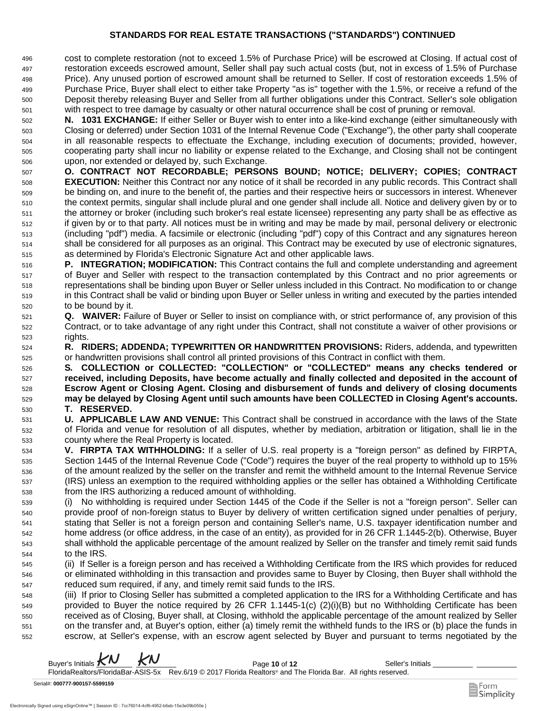cost to complete restoration (not to exceed 1.5% of Purchase Price) will be escrowed at Closing. If actual cost of restoration exceeds escrowed amount, Seller shall pay such actual costs (but, not in excess of 1.5% of Purchase Price). Any unused portion of escrowed amount shall be returned to Seller. If cost of restoration exceeds 1.5% of Purchase Price, Buyer shall elect to either take Property "as is" together with the 1.5%, or receive a refund of the Deposit thereby releasing Buyer and Seller from all further obligations under this Contract. Seller's sole obligation with respect to tree damage by casualty or other natural occurrence shall be cost of pruning or removal. 496 497 498 499 500 501

**N. 1031 EXCHANGE:** If either Seller or Buyer wish to enter into a like-kind exchange (either simultaneously with Closing or deferred) under Section 1031 of the Internal Revenue Code ("Exchange"), the other party shall cooperate in all reasonable respects to effectuate the Exchange, including execution of documents; provided, however, cooperating party shall incur no liability or expense related to the Exchange, and Closing shall not be contingent upon, nor extended or delayed by, such Exchange. 502 503 504 505 506

**O. CONTRACT NOT RECORDABLE; PERSONS BOUND; NOTICE; DELIVERY; COPIES; CONTRACT EXECUTION:** Neither this Contract nor any notice of it shall be recorded in any public records. This Contract shall be binding on, and inure to the benefit of, the parties and their respective heirs or successors in interest. Whenever the context permits, singular shall include plural and one gender shall include all. Notice and delivery given by or to the attorney or broker (including such broker's real estate licensee) representing any party shall be as effective as if given by or to that party. All notices must be in writing and may be made by mail, personal delivery or electronic (including "pdf") media. A facsimile or electronic (including "pdf") copy of this Contract and any signatures hereon shall be considered for all purposes as an original. This Contract may be executed by use of electronic signatures, as determined by Florida's Electronic Signature Act and other applicable laws. 507 508 509 510 511 512 513 514 515

**P. INTEGRATION; MODIFICATION:** This Contract contains the full and complete understanding and agreement of Buyer and Seller with respect to the transaction contemplated by this Contract and no prior agreements or representations shall be binding upon Buyer or Seller unless included in this Contract. No modification to or change in this Contract shall be valid or binding upon Buyer or Seller unless in writing and executed by the parties intended to be bound by it. 516 517 518 519 520

**Q. WAIVER:** Failure of Buyer or Seller to insist on compliance with, or strict performance of, any provision of this Contract, or to take advantage of any right under this Contract, shall not constitute a waiver of other provisions or rights. 521 522 523

**R. RIDERS; ADDENDA; TYPEWRITTEN OR HANDWRITTEN PROVISIONS:** Riders, addenda, and typewritten or handwritten provisions shall control all printed provisions of this Contract in conflict with them. 524 525

**S. COLLECTION or COLLECTED: "COLLECTION" or "COLLECTED" means any checks tendered or received, including Deposits, have become actually and finally collected and deposited in the account of Escrow Agent or Closing Agent. Closing and disbursement of funds and delivery of closing documents may be delayed by Closing Agent until such amounts have been COLLECTED in Closing Agent's accounts.** 526 527 528 529 <sup>530</sup> **T. RESERVED.**

**U. APPLICABLE LAW AND VENUE:** This Contract shall be construed in accordance with the laws of the State of Florida and venue for resolution of all disputes, whether by mediation, arbitration or litigation, shall lie in the county where the Real Property is located. 531 532 533

**V. FIRPTA TAX WITHHOLDING:** If a seller of U.S. real property is a "foreign person" as defined by FIRPTA, Section 1445 of the Internal Revenue Code ("Code") requires the buyer of the real property to withhold up to 15% of the amount realized by the seller on the transfer and remit the withheld amount to the Internal Revenue Service (IRS) unless an exemption to the required withholding applies or the seller has obtained a Withholding Certificate from the IRS authorizing a reduced amount of withholding. 534 535 536 537 538

- (i) No withholding is required under Section 1445 of the Code if the Seller is not a "foreign person". Seller can provide proof of non-foreign status to Buyer by delivery of written certification signed under penalties of perjury, stating that Seller is not a foreign person and containing Seller's name, U.S. taxpayer identification number and home address (or office address, in the case of an entity), as provided for in 26 CFR 1.1445-2(b). Otherwise, Buyer shall withhold the applicable percentage of the amount realized by Seller on the transfer and timely remit said funds to the IRS. 539 540 541 542 543 544
- (ii) If Seller is a foreign person and has received a Withholding Certificate from the IRS which provides for reduced or eliminated withholding in this transaction and provides same to Buyer by Closing, then Buyer shall withhold the reduced sum required, if any, and timely remit said funds to the IRS. 545 546 547

(iii) If prior to Closing Seller has submitted a completed application to the IRS for a Withholding Certificate and has provided to Buyer the notice required by 26 CFR 1.1445-1(c) (2)(i)(B) but no Withholding Certificate has been received as of Closing, Buyer shall, at Closing, withhold the applicable percentage of the amount realized by Seller on the transfer and, at Buyer's option, either (a) timely remit the withheld funds to the IRS or (b) place the funds in escrow, at Seller's expense, with an escrow agent selected by Buyer and pursuant to terms negotiated by the 548 549 550 551 552

Buyer's Initials  $\overline{KN}$   $\overline{KN}$ FloridaRealtors/FloridaBar-ASIS-5x  $\kappa\omega$ 

Rev.6/19 © 2017 Florida Realtors® and The Florida Bar. All rights reserved. Page **10** of **12**



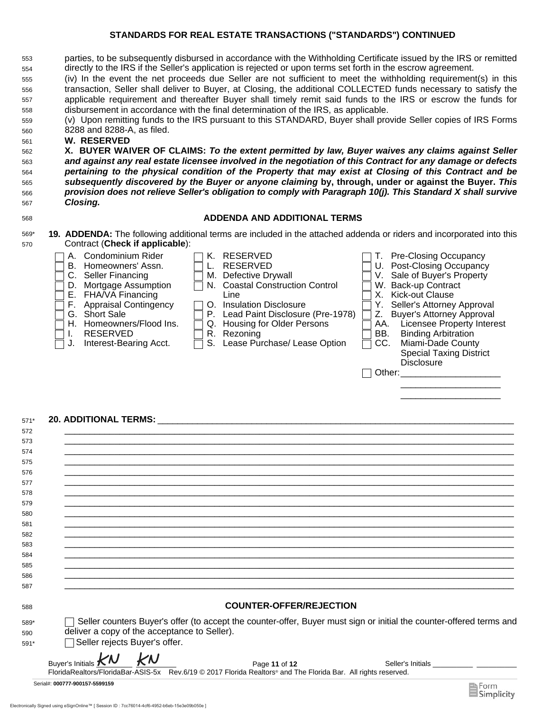- parties, to be subsequently disbursed in accordance with the Withholding Certificate issued by the IRS or remitted directly to the IRS if the Seller's application is rejected or upon terms set forth in the escrow agreement. 553 554
- (iv) In the event the net proceeds due Seller are not sufficient to meet the withholding requirement(s) in this transaction, Seller shall deliver to Buyer, at Closing, the additional COLLECTED funds necessary to satisfy the applicable requirement and thereafter Buyer shall timely remit said funds to the IRS or escrow the funds for disbursement in accordance with the final determination of the IRS, as applicable. 555 556 557 558
- (v) Upon remitting funds to the IRS pursuant to this STANDARD, Buyer shall provide Seller copies of IRS Forms 8288 and 8288-A, as filed. 559 560

#### <sup>561</sup> **W. RESERVED**

**X. BUYER WAIVER OF CLAIMS:** *To the extent permitted by law, Buyer waives any claims against Seller and against any real estate licensee involved in the negotiation of this Contract for any damage or defects pertaining to the physical condition of the Property that may exist at Closing of this Contract and be subsequently discovered by the Buyer or anyone claiming* **by, through, under or against the Buyer.** *This provision does not relieve Seller's obligation to comply with Paragraph 10(j). This Standard X shall survive Closing.* 562 563 564 565 566 567

#### <sup>568</sup> **ADDENDA AND ADDITIONAL TERMS**

- **19. ADDENDA:** The following additional terms are included in the attached addenda or riders and incorporated into this Contract (**Check if applicable**): 569\* 570
	- A. Condominium Rider B. Homeowners' Assn. C. Seller Financing D. Mortgage Assumption E. FHA/VA Financing F. Appraisal Contingency G. Short Sale H. Homeowners/Flood Ins. I. K. RESERVED Line RESERVED
		- J. Interest-Bearing Acct.
- L. RESERVED
- M. Defective Drywall
- N. Coastal Construction Control
- O. Insulation Disclosure
- P. Lead Paint Disclosure (Pre-1978)
- Q. Housing for Older Persons
- R. Rezoning
- S. Lease Purchase/ Lease Option
- T. U. Post-Closing Occupancy V. Sale of Buyer's Property W. Back-up Contract X. Kick-out Clause Y. Seller's Attorney Approval Z. Buyer's Attorney Approval AA. BB. CC. Pre-Closing Occupancy Licensee Property Interest Binding Arbitration Other:\_\_\_\_\_\_\_\_\_\_\_\_\_\_\_\_\_\_\_\_\_\_\_\_\_ \_\_\_\_\_\_\_\_\_\_\_\_\_\_\_\_\_\_\_\_ \_\_\_\_\_\_\_\_\_\_\_\_\_\_\_\_\_\_\_\_ Miami-Dade County Special Taxing District **Disclosure**

| $571*$ |                                                                                                                                                            |
|--------|------------------------------------------------------------------------------------------------------------------------------------------------------------|
| 572    |                                                                                                                                                            |
| 573    |                                                                                                                                                            |
| 574    |                                                                                                                                                            |
| 575    |                                                                                                                                                            |
| 576    |                                                                                                                                                            |
| 577    |                                                                                                                                                            |
| 578    |                                                                                                                                                            |
| 579    |                                                                                                                                                            |
| 580    |                                                                                                                                                            |
| 581    |                                                                                                                                                            |
| 582    |                                                                                                                                                            |
| 583    |                                                                                                                                                            |
| 584    |                                                                                                                                                            |
| 585    |                                                                                                                                                            |
| 586    |                                                                                                                                                            |
| 587    |                                                                                                                                                            |
| 588    | <b>COUNTER-OFFER/REJECTION</b>                                                                                                                             |
| 589*   | Seller counters Buyer's offer (to accept the counter-offer, Buyer must sign or initial the counter-offered terms and                                       |
| 590    | deliver a copy of the acceptance to Seller).                                                                                                               |
| 591*   | $\Box$ Seller rejects Buyer's offer.                                                                                                                       |
|        | Buyer's Initials $K\!N$<br>Page 11 of 12<br>FloridaRealtors/FloridaBar-ASIS-5x Rev.6/19 © 2017 Florida Realtors® and The Florida Bar. All rights reserved. |

Serial#: **000777-900157-5599159**